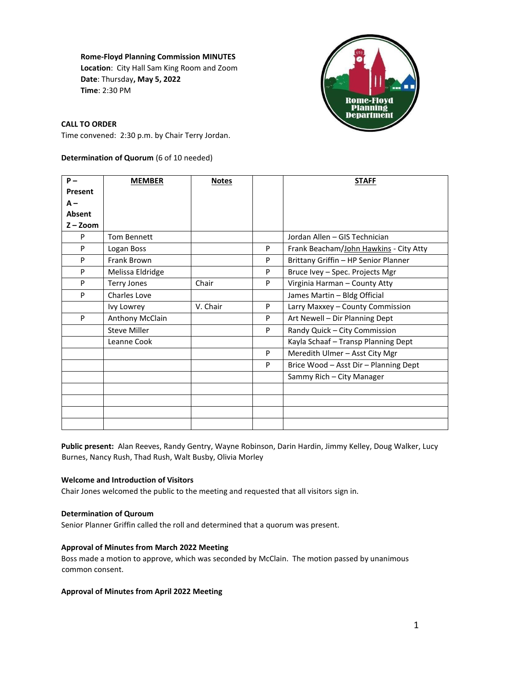**Rome-Floyd Planning Commission MINUTES** 

**Location**: City Hall Sam King Room and Zoom **Date**: Thursday**, May 5, 2022 Time**: 2:30 PM



## **CALL TO ORDER**

Time convened: 2:30 p.m. by Chair Terry Jordan.

## **Determination of Quorum** (6 of 10 needed)

| $P -$       | <b>MEMBER</b>       | <b>Notes</b> |   | <b>STAFF</b>                           |
|-------------|---------------------|--------------|---|----------------------------------------|
| Present     |                     |              |   |                                        |
| $A -$       |                     |              |   |                                        |
| Absent      |                     |              |   |                                        |
| $Z - Z$ oom |                     |              |   |                                        |
| P           | <b>Tom Bennett</b>  |              |   | Jordan Allen - GIS Technician          |
| P           | Logan Boss          |              | P | Frank Beacham/John Hawkins - City Atty |
| P           | Frank Brown         |              | P | Brittany Griffin - HP Senior Planner   |
| P           | Melissa Eldridge    |              | P | Bruce Ivey - Spec. Projects Mgr        |
| P           | <b>Terry Jones</b>  | Chair        | P | Virginia Harman - County Atty          |
| P           | Charles Love        |              |   | James Martin - Bldg Official           |
|             | Ivy Lowrey          | V. Chair     | P | Larry Maxxey - County Commission       |
| P           | Anthony McClain     |              | P | Art Newell - Dir Planning Dept         |
|             | <b>Steve Miller</b> |              | P | Randy Quick - City Commission          |
|             | Leanne Cook         |              |   | Kayla Schaaf - Transp Planning Dept    |
|             |                     |              | P | Meredith Ulmer - Asst City Mgr         |
|             |                     |              | P | Brice Wood - Asst Dir - Planning Dept  |
|             |                     |              |   | Sammy Rich - City Manager              |
|             |                     |              |   |                                        |
|             |                     |              |   |                                        |
|             |                     |              |   |                                        |
|             |                     |              |   |                                        |

**Public present:** Alan Reeves, Randy Gentry, Wayne Robinson, Darin Hardin, Jimmy Kelley, Doug Walker, Lucy Burnes, Nancy Rush, Thad Rush, Walt Busby, Olivia Morley

# **Welcome and Introduction of Visitors**

Chair Jones welcomed the public to the meeting and requested that all visitors sign in.

#### **Determination of Quroum**

Senior Planner Griffin called the roll and determined that a quorum was present.

# **Approval of Minutes from March 2022 Meeting**

Boss made a motion to approve, which was seconded by McClain. The motion passed by unanimous common consent.

#### **Approval of Minutes from April 2022 Meeting**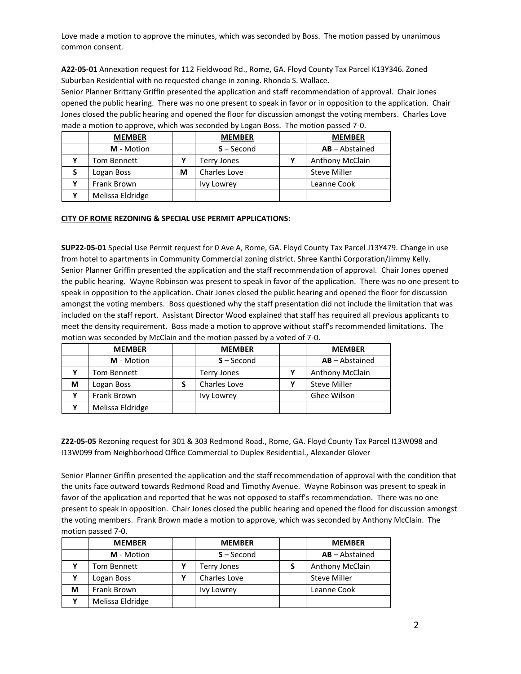Love made a motion to approve the minutes, which was seconded by Boss. The motion passed by unanimous common consent.

**A22-05-01** Annexation request for 112 Fieldwood Rd., Rome, GA. Floyd County Tax Parcel K13Y346. Zoned Suburban Residential with no requested change in zoning. Rhonda S. Wallace.

Senior Planner Brittany Griffin presented the application and staff recommendation of approval. Chair Jones opened the public hearing. There was no one present to speak in favor or in opposition to the application. Chair Jones closed the public hearing and opened the floor for discussion amongst the voting members. Charles Love

| <b>MEMBER</b>    |   | <b>MEMBER</b> | <b>MEMBER</b>       |
|------------------|---|---------------|---------------------|
| M - Motion       |   | $S - Second$  | $AB - Abstract$     |
| Tom Bennett      |   | Terry Jones   | Anthony McClain     |
| Logan Boss       | М | Charles Love  | <b>Steve Miller</b> |
| Frank Brown      |   | Ivy Lowrey    | Leanne Cook         |
| Melissa Eldridge |   |               |                     |

### **CITY OF ROME REZONING & SPECIAL USE PERMIT APPLICATIONS:**

**SUP22-05-01** Special Use Permit request for 0 Ave A, Rome, GA. Floyd County Tax Parcel J13Y479. Change in use from hotel to apartments in Community Commercial zoning district. Shree Kanthi Corporation/Jimmy Kelly. Senior Planner Griffin presented the application and the staff recommendation of approval. Chair Jones opened the public hearing. Wayne Robinson was present to speak in favor of the application. There was no one present to speak in opposition to the application. Chair Jones closed the public hearing and opened the floor for discussion amongst the voting members. Boss questioned why the staff presentation did not include the limitation that was included on the staff report. Assistant Director Wood explained that staff has required all previous applicants to meet the density requirement. Boss made a motion to approve without staff's recommended limitations. The motion was seconded by McClain and the motion passed by a voted of 7-0.

|   | <b>MEMBER</b>    | <b>MEMBER</b> | <b>MEMBER</b>        |
|---|------------------|---------------|----------------------|
|   | M - Motion       | $S - Second$  | $AB - Abstractained$ |
|   | Tom Bennett      | Terry Jones   | Anthony McClain      |
| М | Logan Boss       | Charles Love  | <b>Steve Miller</b>  |
|   | Frank Brown      | Ivy Lowrey    | Ghee Wilson          |
|   | Melissa Eldridge |               |                      |

**Z22-05-05** Rezoning request for 301 & 303 Redmond Road., Rome, GA. Floyd County Tax Parcel I13W098 and I13W099 from Neighborhood Office Commercial to Duplex Residential., Alexander Glover

Senior Planner Griffin presented the application and the staff recommendation of approval with the condition that the units face outward towards Redmond Road and Timothy Avenue. Wayne Robinson was present to speak in favor of the application and reported that he was not opposed to staff's recommendation. There was no one present to speak in opposition. Chair Jones closed the public hearing and opened the flood for discussion amongst the voting members. Frank Brown made a motion to approve, which was seconded by Anthony McClain. The motion passed 7-0.

|   | <b>MEMBER</b>    | <b>MEMBER</b> | <b>MEMBER</b>         |
|---|------------------|---------------|-----------------------|
|   | M - Motion       | $S - Second$  | <b>AB</b> – Abstained |
|   | Tom Bennett      | Terry Jones   | Anthony McClain       |
|   | Logan Boss       | Charles Love  | <b>Steve Miller</b>   |
| м | Frank Brown      | Ivy Lowrey    | Leanne Cook           |
|   | Melissa Eldridge |               |                       |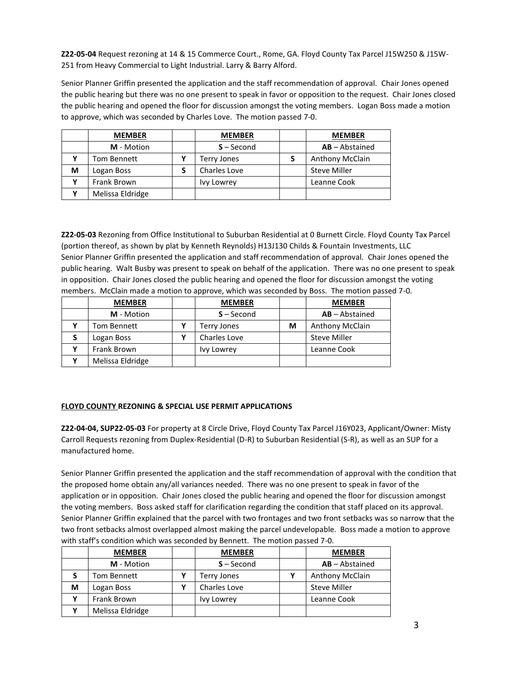**Z22-05-04** Request rezoning at 14 & 15 Commerce Court., Rome, GA. Floyd County Tax Parcel J15W250 & J15W-251 from Heavy Commercial to Light Industrial. Larry & Barry Alford.

Senior Planner Griffin presented the application and the staff recommendation of approval. Chair Jones opened the public hearing but there was no one present to speak in favor or opposition to the request. Chair Jones closed the public hearing and opened the floor for discussion amongst the voting members. Logan Boss made a motion to approve, which was seconded by Charles Love. The motion passed 7-0.

|   | <b>MEMBER</b>    | <b>MEMBER</b> | <b>MEMBER</b>        |
|---|------------------|---------------|----------------------|
|   | M - Motion       | $S - Second$  | $AB - Abstractained$ |
|   | Tom Bennett      | Terry Jones   | Anthony McClain      |
| М | Logan Boss       | Charles Love  | <b>Steve Miller</b>  |
|   | Frank Brown      | Ivy Lowrey    | Leanne Cook          |
|   | Melissa Eldridge |               |                      |

**Z22-05-03** Rezoning from Office Institutional to Suburban Residential at 0 Burnett Circle. Floyd County Tax Parcel (portion thereof, as shown by plat by Kenneth Reynolds) H13J130 Childs & Fountain Investments, LLC Senior Planner Griffin presented the application and staff recommendation of approval. Chair Jones opened the public hearing. Walt Busby was present to speak on behalf of the application. There was no one present to speak in opposition. Chair Jones closed the public hearing and opened the floor for discussion amongst the voting members. McClain made a motion to approve, which was seconded by Boss. The motion passed 7-0.

| <b>MEMBER</b>    | <b>MEMBER</b> |   | <b>MEMBER</b>       |
|------------------|---------------|---|---------------------|
| M - Motion       | $S - Second$  |   | $AB - Abstract$     |
| Tom Bennett      | Terry Jones   | M | Anthony McClain     |
| Logan Boss       | Charles Love  |   | <b>Steve Miller</b> |
| Frank Brown      | Ivy Lowrey    |   | Leanne Cook         |
| Melissa Eldridge |               |   |                     |

# **FLOYD COUNTY REZONING & SPECIAL USE PERMIT APPLICATIONS**

**Z22-04-04, SUP22-05-03** For property at 8 Circle Drive, Floyd County Tax Parcel J16Y023, Applicant/Owner: Misty Carroll Requests rezoning from Duplex-Residential (D-R) to Suburban Residential (S-R), as well as an SUP for a manufactured home.

Senior Planner Griffin presented the application and the staff recommendation of approval with the condition that the proposed home obtain any/all variances needed. There was no one present to speak in favor of the application or in opposition. Chair Jones closed the public hearing and opened the floor for discussion amongst the voting members. Boss asked staff for clarification regarding the condition that staff placed on its approval. Senior Planner Griffin explained that the parcel with two frontages and two front setbacks was so narrow that the two front setbacks almost overlapped almost making the parcel undevelopable. Boss made a motion to approve with staff's condition which was seconded by Bennett. The motion passed 7-0.

|   | <b>MEMBER</b>    | <b>MEMBER</b> | <b>MEMBER</b>        |
|---|------------------|---------------|----------------------|
|   | M - Motion       | $S - Second$  | $AB - Abstractained$ |
|   | Tom Bennett      | Terry Jones   | Anthony McClain      |
| М | Logan Boss       | Charles Love  | <b>Steve Miller</b>  |
|   | Frank Brown      | Ivy Lowrey    | Leanne Cook          |
|   | Melissa Eldridge |               |                      |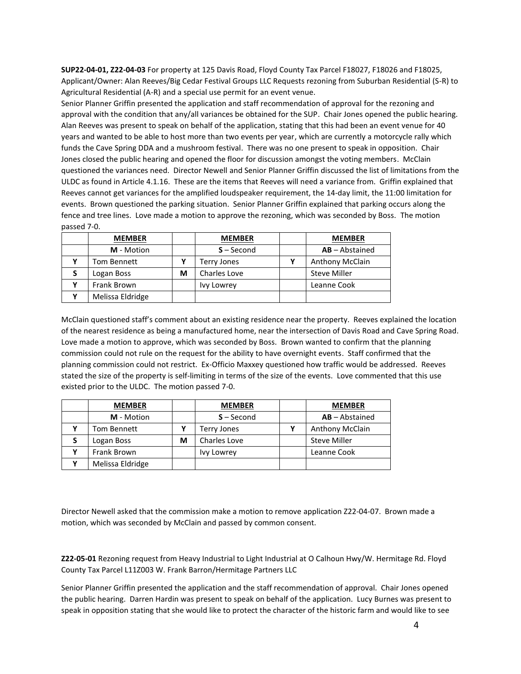**SUP22-04-01, Z22-04-03** For property at 125 Davis Road, Floyd County Tax Parcel F18027, F18026 and F18025, Applicant/Owner: Alan Reeves/Big Cedar Festival Groups LLC Requests rezoning from Suburban Residential (S-R) to Agricultural Residential (A-R) and a special use permit for an event venue.

Senior Planner Griffin presented the application and staff recommendation of approval for the rezoning and approval with the condition that any/all variances be obtained for the SUP. Chair Jones opened the public hearing. Alan Reeves was present to speak on behalf of the application, stating that this had been an event venue for 40 years and wanted to be able to host more than two events per year, which are currently a motorcycle rally which funds the Cave Spring DDA and a mushroom festival. There was no one present to speak in opposition. Chair Jones closed the public hearing and opened the floor for discussion amongst the voting members. McClain questioned the variances need. Director Newell and Senior Planner Griffin discussed the list of limitations from the ULDC as found in Article 4.1.16. These are the items that Reeves will need a variance from. Griffin explained that Reeves cannot get variances for the amplified loudspeaker requirement, the 14-day limit, the 11:00 limitation for events. Brown questioned the parking situation. Senior Planner Griffin explained that parking occurs along the fence and tree lines. Love made a motion to approve the rezoning, which was seconded by Boss. The motion passed 7-0.

| <b>MEMBER</b>    |   | <b>MEMBER</b>      | <b>MEMBER</b>        |
|------------------|---|--------------------|----------------------|
| M - Motion       |   | $S - Second$       | $AB - Abstractained$ |
| Tom Bennett      |   | <b>Terry Jones</b> | Anthony McClain      |
| Logan Boss       | М | Charles Love       | <b>Steve Miller</b>  |
| Frank Brown      |   | Ivy Lowrey         | Leanne Cook          |
| Melissa Eldridge |   |                    |                      |

McClain questioned staff's comment about an existing residence near the property. Reeves explained the location of the nearest residence as being a manufactured home, near the intersection of Davis Road and Cave Spring Road. Love made a motion to approve, which was seconded by Boss. Brown wanted to confirm that the planning commission could not rule on the request for the ability to have overnight events. Staff confirmed that the planning commission could not restrict. Ex-Officio Maxxey questioned how traffic would be addressed. Reeves stated the size of the property is self-limiting in terms of the size of the events. Love commented that this use existed prior to the ULDC. The motion passed 7-0.

| <b>MEMBER</b>    |   | <b>MEMBER</b> | <b>MEMBER</b>          |
|------------------|---|---------------|------------------------|
| M - Motion       |   | $S - Second$  | $AB - Abstractained$   |
| Tom Bennett      |   | Terry Jones   | <b>Anthony McClain</b> |
| Logan Boss       | М | Charles Love  | <b>Steve Miller</b>    |
| Frank Brown      |   | Ivy Lowrey    | Leanne Cook            |
| Melissa Eldridge |   |               |                        |

Director Newell asked that the commission make a motion to remove application Z22-04-07. Brown made a motion, which was seconded by McClain and passed by common consent.

**Z22-05-01** Rezoning request from Heavy Industrial to Light Industrial at O Calhoun Hwy/W. Hermitage Rd. Floyd County Tax Parcel L11Z003 W. Frank Barron/Hermitage Partners LLC

Senior Planner Griffin presented the application and the staff recommendation of approval. Chair Jones opened the public hearing. Darren Hardin was present to speak on behalf of the application. Lucy Burnes was present to speak in opposition stating that she would like to protect the character of the historic farm and would like to see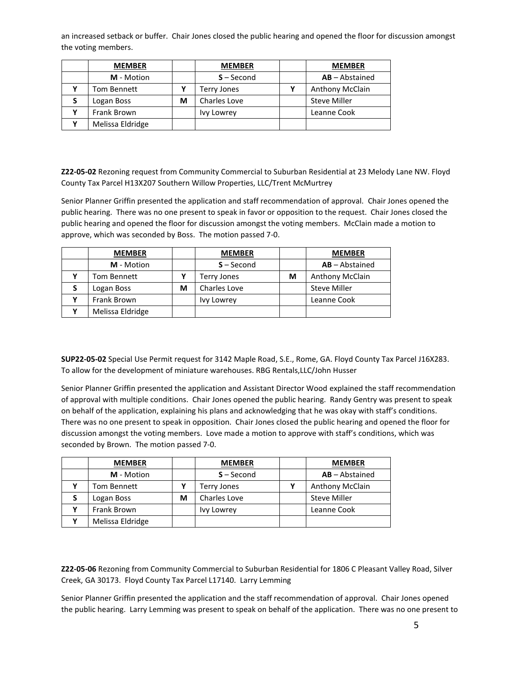an increased setback or buffer. Chair Jones closed the public hearing and opened the floor for discussion amongst the voting members.

| <b>MEMBER</b>    |   | <b>MEMBER</b> | <b>MEMBER</b>        |
|------------------|---|---------------|----------------------|
| M - Motion       |   | $S - Second$  | $AB - Abstractained$ |
| Tom Bennett      |   | Terry Jones   | Anthony McClain      |
| Logan Boss       | М | Charles Love  | <b>Steve Miller</b>  |
| Frank Brown      |   | Ivy Lowrey    | Leanne Cook          |
| Melissa Eldridge |   |               |                      |

**Z22-05-02** Rezoning request from Community Commercial to Suburban Residential at 23 Melody Lane NW. Floyd County Tax Parcel H13X207 Southern Willow Properties, LLC/Trent McMurtrey

Senior Planner Griffin presented the application and staff recommendation of approval. Chair Jones opened the public hearing. There was no one present to speak in favor or opposition to the request. Chair Jones closed the public hearing and opened the floor for discussion amongst the voting members. McClain made a motion to approve, which was seconded by Boss. The motion passed 7-0.

| <b>MEMBER</b>    |   | <b>MEMBER</b> |   | <b>MEMBER</b>          |
|------------------|---|---------------|---|------------------------|
| M - Motion       |   | $S - Second$  |   | $AB - Abstractained$   |
| Tom Bennett      |   | Terry Jones   | M | <b>Anthony McClain</b> |
| Logan Boss       | М | Charles Love  |   | <b>Steve Miller</b>    |
| Frank Brown      |   | Ivy Lowrey    |   | Leanne Cook            |
| Melissa Eldridge |   |               |   |                        |

**SUP22-05-02** Special Use Permit request for 3142 Maple Road, S.E., Rome, GA. Floyd County Tax Parcel J16X283. To allow for the development of miniature warehouses. RBG Rentals,LLC/John Husser

Senior Planner Griffin presented the application and Assistant Director Wood explained the staff recommendation of approval with multiple conditions. Chair Jones opened the public hearing. Randy Gentry was present to speak on behalf of the application, explaining his plans and acknowledging that he was okay with staff's conditions. There was no one present to speak in opposition. Chair Jones closed the public hearing and opened the floor for discussion amongst the voting members. Love made a motion to approve with staff's conditions, which was seconded by Brown. The motion passed 7-0.

| <b>MEMBER</b>    |   | <b>MEMBER</b> | <b>MEMBER</b>        |
|------------------|---|---------------|----------------------|
| M - Motion       |   | $S - Second$  | $AB - Abstractained$ |
| Tom Bennett      |   | Terry Jones   | Anthony McClain      |
| Logan Boss       | М | Charles Love  | <b>Steve Miller</b>  |
| Frank Brown      |   | Ivy Lowrey    | Leanne Cook          |
| Melissa Eldridge |   |               |                      |

**Z22-05-06** Rezoning from Community Commercial to Suburban Residential for 1806 C Pleasant Valley Road, Silver Creek, GA 30173. Floyd County Tax Parcel L17140. Larry Lemming

Senior Planner Griffin presented the application and the staff recommendation of approval. Chair Jones opened the public hearing. Larry Lemming was present to speak on behalf of the application. There was no one present to